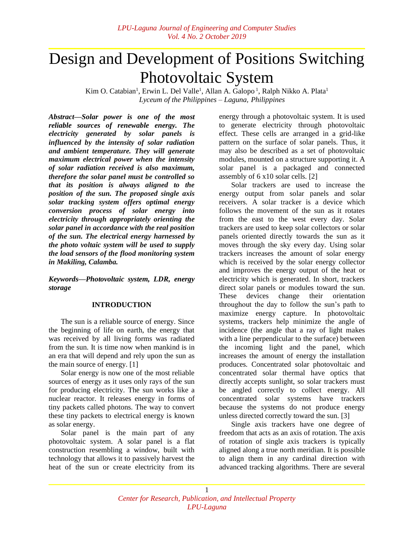# Design and Development of Positions Switching Photovoltaic System

Kim O. Catabian<sup>1</sup>, Erwin L. Del Valle<sup>1</sup>, Allan A. Galopo<sup>1</sup>, Ralph Nikko A. Plata<sup>1</sup> *Lyceum of the Philippines ‒ Laguna, Philippines*

*Abstract—Solar power is one of the most reliable sources of renewable energy. The electricity generated by solar panels is influenced by the intensity of solar radiation and ambient temperature. They will generate maximum electrical power when the intensity of solar radiation received is also maximum, therefore the solar panel must be controlled so that its position is always aligned to the position of the sun. The proposed single axis solar tracking system offers optimal energy conversion process of solar energy into electricity through appropriately orienting the solar panel in accordance with the real position of the sun. The electrical energy harnessed by the photo voltaic system will be used to supply the load sensors of the flood monitoring system in Makiling, Calamba.*

*Keywords—Photovoltaic system, LDR, energy storage*

## **INTRODUCTION**

The sun is a reliable source of energy. Since the beginning of life on earth, the energy that was received by all living forms was radiated from the sun. It is time now when mankind is in an era that will depend and rely upon the sun as the main source of energy. [1]

Solar energy is now one of the most reliable sources of energy as it uses only rays of the sun for producing electricity. The sun works like a nuclear reactor. It releases energy in forms of tiny packets called photons. The way to convert these tiny packets to electrical energy is known as solar energy.

Solar panel is the main part of any photovoltaic system. A solar panel is a flat construction resembling a window, built with technology that allows it to passively harvest the heat of the sun or create electricity from its

energy through a photovoltaic system. It is used to generate electricity through photovoltaic effect. These cells are arranged in a grid-like pattern on the surface of solar panels. Thus, it may also be described as a set of photovoltaic modules, mounted on a structure supporting it. A solar panel is a packaged and connected assembly of 6 x10 solar cells. [2]

Solar trackers are used to increase the energy output from solar panels and solar receivers. A solar tracker is a device which follows the movement of the sun as it rotates from the east to the west every day. Solar trackers are used to keep solar collectors or solar panels oriented directly towards the sun as it moves through the sky every day. Using solar trackers increases the amount of solar energy which is received by the solar energy collector and improves the energy output of the heat or electricity which is generated. In short, trackers direct solar panels or modules toward the sun. These devices change their orientation throughout the day to follow the sun's path to maximize energy capture. In photovoltaic systems, trackers help minimize the angle of incidence (the angle that a ray of light makes with a line perpendicular to the surface) between the incoming light and the panel, which increases the amount of energy the installation produces. Concentrated solar photovoltaic and concentrated solar thermal have optics that directly accepts sunlight, so solar trackers must be angled correctly to collect energy. All concentrated solar systems have trackers because the systems do not produce energy unless directed correctly toward the sun. [3]

Single axis trackers have one degree of freedom that acts as an axis of rotation. The axis of rotation of single axis trackers is typically aligned along a true north meridian. It is possible to align them in any cardinal direction with advanced tracking algorithms. There are several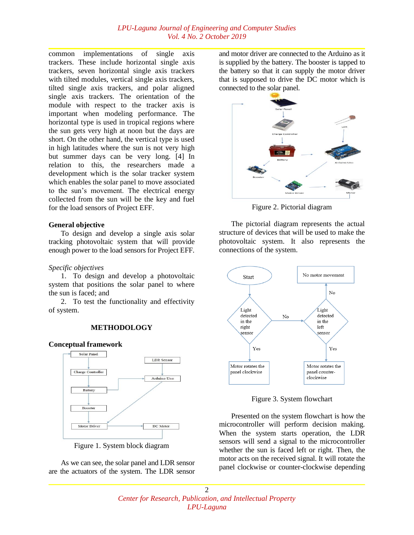common implementations of single axis trackers. These include horizontal single axis trackers, seven horizontal single axis trackers with tilted modules, vertical single axis trackers, tilted single axis trackers, and polar aligned single axis trackers. The orientation of the module with respect to the tracker axis is important when modeling performance. The horizontal type is used in tropical regions where the sun gets very high at noon but the days are short. On the other hand, the vertical type is used in high latitudes where the sun is not very high but summer days can be very long. [4] In relation to this, the researchers made a development which is the solar tracker system which enables the solar panel to move associated to the sun's movement. The electrical energy collected from the sun will be the key and fuel for the load sensors of Project EFF.

#### **General objective**

To design and develop a single axis solar tracking photovoltaic system that will provide enough power to the load sensors for Project EFF.

## *Specific objectives*

1. To design and develop a photovoltaic system that positions the solar panel to where the sun is faced; and

2. To test the functionality and effectivity of system.

## **METHODOLOGY**

#### **Conceptual framework**



Figure 1. System block diagram

As we can see, the solar panel and LDR sensor are the actuators of the system. The LDR sensor and motor driver are connected to the Arduino as it is supplied by the battery. The booster is tapped to the battery so that it can supply the motor driver that is supposed to drive the DC motor which is connected to the solar panel.



Figure 2. Pictorial diagram

The pictorial diagram represents the actual structure of devices that will be used to make the photovoltaic system. It also represents the connections of the system.



Figure 3. System flowchart

Presented on the system flowchart is how the microcontroller will perform decision making. When the system starts operation, the LDR sensors will send a signal to the microcontroller whether the sun is faced left or right. Then, the motor acts on the received signal. It will rotate the panel clockwise or counter-clockwise depending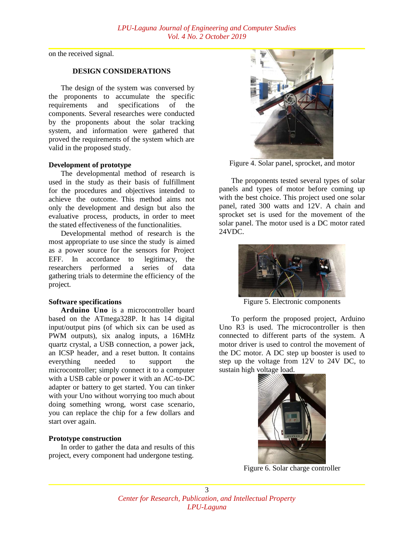on the received signal.

## **DESIGN CONSIDERATIONS**

The design of the system was conversed by the proponents to accumulate the specific requirements and specifications of the components. Several researches were conducted by the proponents about the solar tracking system, and information were gathered that proved the requirements of the system which are valid in the proposed study.

#### **Development of prototype**

The developmental method of research is used in the study as their basis of fulfillment for the procedures and objectives intended to achieve the outcome. This method aims not only the development and design but also the evaluative process, products, in order to meet the stated effectiveness of the functionalities.

Developmental method of research is the most appropriate to use since the study is aimed as a power source for the sensors for Project EFF. In accordance to legitimacy, the researchers performed a series of data gathering trials to determine the efficiency of the project.

#### **Software specifications**

**Arduino Uno** is a microcontroller board based on the ATmega328P. It has 14 digital input/output pins (of which six can be used as PWM outputs), six analog inputs, a 16MHz quartz crystal, a USB connection, a power jack, an ICSP header, and a reset button. It contains everything needed to support the microcontroller; simply connect it to a computer with a USB cable or power it with an AC-to-DC adapter or battery to get started. You can tinker with your Uno without worrying too much about doing something wrong, worst case scenario, you can replace the chip for a few dollars and start over again.

#### **Prototype construction**

In order to gather the data and results of this project, every component had undergone testing.



Figure 4. Solar panel, sprocket, and motor

The proponents tested several types of solar panels and types of motor before coming up with the best choice. This project used one solar panel, rated 300 watts and 12V. A chain and sprocket set is used for the movement of the solar panel. The motor used is a DC motor rated 24VDC.



Figure 5. Electronic components

To perform the proposed project, Arduino Uno R3 is used. The microcontroller is then connected to different parts of the system. A motor driver is used to control the movement of the DC motor. A DC step up booster is used to step up the voltage from 12V to 24V DC, to sustain high voltage load.



Figure 6. Solar charge controller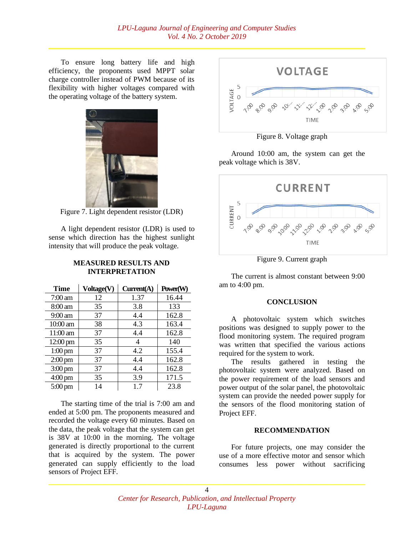To ensure long battery life and high efficiency, the proponents used MPPT solar charge controller instead of PWM because of its flexibility with higher voltages compared with the operating voltage of the battery system.



Figure 7. Light dependent resistor (LDR)

A light dependent resistor (LDR) is used to sense which direction has the highest sunlight intensity that will produce the peak voltage.

## **MEASURED RESULTS AND INTERPRETATION**

| <b>Time</b>       | Voltage(V) | Current(A) | Power(W) |
|-------------------|------------|------------|----------|
| $7:00$ am         | 12         | 1.37       | 16.44    |
| $8:00 \text{ am}$ | 35         | 3.8        | 133      |
| 9:00 am           | 37         | 4.4        | 162.8    |
| 10:00 am          | 38         | 4.3        | 163.4    |
| $11:00$ am        | 37         | 4.4        | 162.8    |
| 12:00 pm          | 35         | 4          | 140      |
| $1:00 \text{ pm}$ | 37         | 4.2        | 155.4    |
| $2:00 \text{ pm}$ | 37         | 4.4        | 162.8    |
| $3:00 \text{ pm}$ | 37         | 4.4        | 162.8    |
| $4:00 \text{ pm}$ | 35         | 3.9        | 171.5    |
| $5:00 \text{ pm}$ | 14         | 1.7        | 23.8     |

The starting time of the trial is 7:00 am and ended at 5:00 pm. The proponents measured and recorded the voltage every 60 minutes. Based on the data, the peak voltage that the system can get is 38V at 10:00 in the morning. The voltage generated is directly proportional to the current that is acquired by the system. The power generated can supply efficiently to the load sensors of Project EFF.



Figure 8. Voltage graph

Around 10:00 am, the system can get the peak voltage which is 38V.



Figure 9. Current graph

The current is almost constant between 9:00 am to 4:00 pm.

## **CONCLUSION**

A photovoltaic system which switches positions was designed to supply power to the flood monitoring system. The required program was written that specified the various actions required for the system to work.

The results gathered in testing the photovoltaic system were analyzed. Based on the power requirement of the load sensors and power output of the solar panel, the photovoltaic system can provide the needed power supply for the sensors of the flood monitoring station of Project EFF.

## **RECOMMENDATION**

For future projects, one may consider the use of a more effective motor and sensor which consumes less power without sacrificing